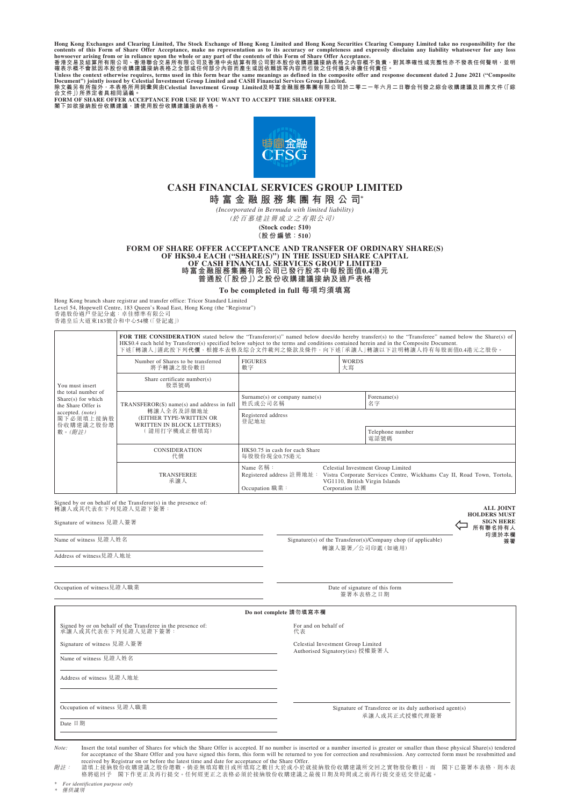Hong Kong Exchanges and Clearing Limited, The Stock Exchange of Hong Kong Limited and Hong Kong Securities Clearing Company Limited take no responsibility for the contents of this Form of Share Offer Acceptance, make no

**閣下如欲接納股份收購建議,請使用股份收購建議接納表格。**



# **CASH FINANCIAL SERVICES GROUP LIMITED 時富金融服務集團有限公司\***

*(Incorporated in Bermuda with limited liability)*

(於百慕達註冊成立之有限公司)

**(Stock code: 510) (股份編號:510)**

**FORM OF SHARE OFFER ACCEPTANCE AND TRANSFER OF ORDINARY SHARE(S) OF HK\$0.4 EACH ("SHARE(S)") IN THE ISSUED SHARE CAPITAL OF CASH FINANCIAL SERVICES GROUP LIMITED 時富金融服務集團有限公司已發行股本中每股面值0.4港元 普通股(「股份」)之股份收購建議接納及過戶表格**

**To be completed in full 每項均須填寫**

Hong Kong branch share registrar and transfer office: Tricor Standard Limited Level 54, Hopewell Centre, 183 Queen's Road East, Hong Kong (the "Registrar")<br>香港股份過戶登記分處:卓佳標準有限公司<br>香港垦后大道東183號合和中心54樓(「登記處」)

> FOR THE CONSIDERATION stated below the "Transferor(s)" named below does/do hereby transfer(s) to the "Transferee" named below the Share(s) of HK\$0.4 each held by Transferor(s) specified below subject to the terms and conditions contained herein and in the Composite Document.<br>下述「轉讓人」謹此按下列**代價**,根據本表格及綜合文件載列之條款及條件,向下述「承讓人」轉讓以下註明轉讓人持有每股面值0.4港元之股份。 Number of Shares to be transferred 將予轉讓之股份數目 FIGURES 數字 WORDS 大寫 Share certificate number(s)

| You must insert<br>the total number of<br>Share(s) for which<br>the Share Offer is<br>accepted. (note)<br>  閣下必須填上接納股<br>份收購建議之股份總<br> 數。( <i>附註)</i> | 股票號碼                                                                                                                             |                                                                       |                                                                                                                                                                  |                          |  |
|-------------------------------------------------------------------------------------------------------------------------------------------------------|----------------------------------------------------------------------------------------------------------------------------------|-----------------------------------------------------------------------|------------------------------------------------------------------------------------------------------------------------------------------------------------------|--------------------------|--|
|                                                                                                                                                       | TRANSFEROR(S) name(s) and address in full<br>轉讓人全名及詳細地址<br>(EITHER TYPE-WRITTEN OR<br>WRITTEN IN BLOCK LETTERS)<br>  請用打字機或正楷填寫) | $Surname(s)$ or company name $(s)$<br>姓氏或公司名稱                         |                                                                                                                                                                  | Forename(s)<br>名字        |  |
|                                                                                                                                                       |                                                                                                                                  | Registered address<br>登記地址                                            |                                                                                                                                                                  |                          |  |
|                                                                                                                                                       |                                                                                                                                  |                                                                       |                                                                                                                                                                  | Telephone number<br>電話號碼 |  |
|                                                                                                                                                       | <b>CONSIDERATION</b><br>代價                                                                                                       | HK\$0.75 in cash for each Share<br>每股股份現金0.75港元                       |                                                                                                                                                                  |                          |  |
|                                                                                                                                                       | <b>TRANSFEREE</b><br>承讓人                                                                                                         | Name $25\frac{1}{14}$ :<br>Registered address 註冊地址:<br>Occupation 職業: | Celestial Investment Group Limited<br>Vistra Corporate Services Centre, Wickhams Cay II, Road Town, Tortola,<br>VG1110, British Virgin Islands<br>Corporation 法團 |                          |  |

| Signed by or on behalf of the Transferor(s) in the presence of:<br>轉讓人或其代表在下列見證人見證下簽署:<br>Signature of witness 見證人簽署<br>Name of witness 見證人姓名<br>Address of witness 見證人地址 | Signature(s) of the Transferor(s)/Company chop (if applicable)<br>轉讓人簽署/公司印鑑(如適用) | <b>ALL JOINT</b><br><b>HOLDERS MUST</b><br><b>SIGN HERE</b><br>所有聯名持有人<br>均須於本欄<br>簽署 |  |
|---------------------------------------------------------------------------------------------------------------------------------------------------------------------------|-----------------------------------------------------------------------------------|---------------------------------------------------------------------------------------|--|
| Occupation of witness見證人職業                                                                                                                                                | Date of signature of this form<br>簽署本表格之日期                                        |                                                                                       |  |
|                                                                                                                                                                           | Do not complete 請勿填寫本欄                                                            |                                                                                       |  |
| Signed by or on behalf of the Transferee in the presence of:<br>承讓人或其代表在下列見證人見證下簽署:                                                                                       | For and on behalf of<br>代表                                                        |                                                                                       |  |
| Signature of witness 見證人簽署                                                                                                                                                | Celestial Investment Group Limited<br>Authorised Signatory(ies) 授權簽署人             |                                                                                       |  |
| Name of witness 見證人姓名                                                                                                                                                     |                                                                                   |                                                                                       |  |
| Address of witness 見證人地址                                                                                                                                                  |                                                                                   |                                                                                       |  |
|                                                                                                                                                                           |                                                                                   |                                                                                       |  |
| Occupation of witness 見證人職業                                                                                                                                               | Signature of Transferee or its duly authorised agent(s)<br>承讓人或其正式授權代理簽署          |                                                                                       |  |
| Date 日期                                                                                                                                                                   |                                                                                   |                                                                                       |  |

Note: Insert the total number of Shares for which the Share Offer is accepted. If no number is inserted or a number inserted is greater or smaller than those physical Share(s) tendered<br>for acceptance of the Share Offer and

*附註:* 請填上接納股份收購建議之股份總數。倘並無填寫數目或所填寫之數目大於或小於就接納股份收購建議所交回之實物股份數目,而 閣下已簽署本表格,則本表<br>格將退回予 閣下作更正及再行提交。任何經更正之表格必須於接納股份收購建議之最後日期及時間或之前再行提交並送交登記處。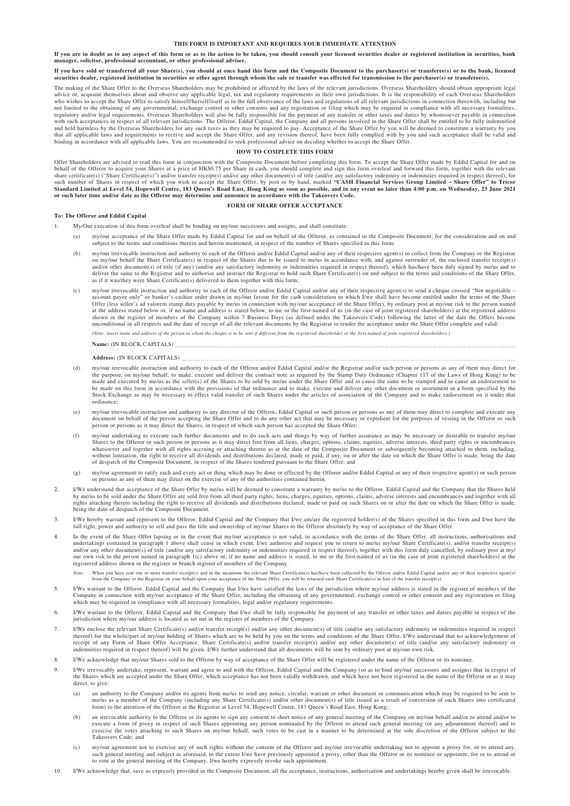#### **THIS FORM IS IMPORTANT AND REQUIRES YOUR IMMEDIATE ATTENTION**

If you are in doubt as to any aspect of this form or as to the action to be taken, you should consult your licensed securities dealer or registered institution in securities, bank **manager, solicitor, professional accountant, or other professional adviser.**

# If you have sold or transferred all your Share(s), you should at once hand this form and the Composite Document to the purchaser(s) or transferee(s) or to the bank, licensed<br>securities dealer, registered institution in sec

The making of the Share Offer to the Overseas Shareholders may be prohibited or affected by the laws of the relevant jurisdictions. Overseas Shareholders should obtain appropriate legal advice or, acquaint themselves about and observe any applicable legal, tax and regulatory requirements in their own jurisdictions. It is the responsibility of each Overseas Shareholders<br>who wishes to accept the Share Offer regulatory and/or legal requirements. Overseas Shareholders will also be fully responsible for the payment of any transfer or other taxes and duties by whomsoever payable in connection<br>with such acceptances in respect of a and held harmless by the Overseas Shareholders for any such taxes as they may be required to pay. Acceptance of the Share Offer by you will be deemed to constitute a warranty by you<br>that all applicable laws and requirement

#### **HOW TO COMPLETE THIS FORM**

Offer Shareholders are advised to read this form in conjunction with the Composite Document before completing this form. To accept the Share Offer made by Eddid Capital for and on<br>behalf of the Offeror to acquire your Shar such number of Shares in respect of which you wish to accept the Share Offer, by post or by hand, marked "CASH Financial Services Group Limited – Share Offer" to Tricor<br>Standard Limited at Level 54, Hopewell Centre, 183 Qu

## **FORM OF SHARE OFFER ACCEPTANCE**

#### **To: The Offeror and Eddid Capital**

- My/Our execution of this form overleaf shall be binding on my/our successors and assigns, and shall constitute:
	- (a) my/our acceptance of the Share Offer made by Eddid Capital for and on behalf of the Offeror, as contained in the Composite Document, for the consideration and on and subject to the terms and conditions therein and herein mentioned, in respect of the number of Shares specified in this form;
	- (b) my/our irrevocable instruction and authority to each of the Offeror and/or Eddid Capital and/or any of their respective agent(s) to collect from the Company or the Registrar on my/our behalf the Share Certificate(s) in respect of the Shares due to be issued to me/us in accordance with, and against surrender of, the enclosed transfer receipt(s) of title (if any) (and/or any satisfactory indemni deliver the same to the Registrar and to authorise and instruct the Registrar to hold such Share Certificate(s) on and subject to the terms and conditions of the Share Offer, as if it was/they were Share Certificate(s) delivered to them together with this form
	- (c) my/our irrevocable instruction and authority to each of the Offeror and/or Eddid Capital and/or any of their respective agent(s) to send a cheque crossed "Not negotiable account payee only" or banker's cashier order drawn in my/our favour for the cash consideration to which I/we shall have become entitled under the terms of the Share<br>Offer (less seller's ad valorem stamp duty payable by me shown in the register of members of the Company within 7 Business Days (as defined under the Takeovers Code) following the latter of the date the Offers become<br>unconditional in all respects and the date of receipt of all t

*(Note: insert name and address of the person to whom the cheque is to be sent if different from the registered shareholder or the first-named of joint registered shareholders.)*

## **Name:** (IN BLOCK CAPITALS)

#### **Address:** (IN BLOCK CAPITALS)

- (d) my/our irrevocable instruction and authority to each of the Offeror and/or Eddid Capital and/or the Registrar and/or such person or persons as any of them may direct for the purpose, on my/our behalf, to make, execute and deliver the contract note as required by the Stamp Duty Ordinance (Chapter 117 of the Laws of Hong Kong) to be<br>made and executed by me/us as the seller(s) of the Shares t be made on this form in accordance with the provisions of that ordinance and to make, execute and deliver any other document or instrument in a form specified by the<br>Stock Exchange as may be necessary to effect valid trans ordinance;
- (e) my/our irrevocable instruction and authority to any director of the Offeror, Eddid Capital or such person or persons as any of them may direct to complete and execute any of them in the purposes of vesting in the Offer
- (f) my/our undertaking to execute such further documents and to do such acts and things by way of further assurance as may be necessary or desirable to transfer my/our Shares to the Offeror or such person or persons as it may direct free from all liens, charges, options, claims, equities, adverse interests, third party rights or encumbrances whatsoever and together with all rights accrui without limitation, the right to receive all dividends and distributions declared, made or paid, if any, on or after the date on which the Share Offer is made, being the date<br>of despatch of the Composite Document, in respe
- (g) my/our agreement to ratify each and every act or thing which may be done or effected by the Offeror and/or Eddid Capital or any of their respective agent(s) or such person or persons as any of them may direct on the ex
- 2. I/We understand that acceptance of the Share Offer by me/us will be deemed to constitute a warranty by me/us to the Offeror, Eddid Capital and the Company that the Shares held by me/us to be sold under the Share Offer are sold free from all third party rights, liens, charges, equities, options, claims, adverse interests and encumbrances and together with all<br>rights attaching thereto including th being the date of despatch of the Composite Document.
- 3. I/We hereby warrant and represent to the Offeror, Eddid Capital and the Company that I/we am/are the registered holder(s) of the Shares specified in this form and I/we have the full right, power and authority to sell an
- 4. In the event of the Share Offer lapsing or in the event that my/our acceptance is not valid, in accordance with the terms of the Share Offer, all instructions, authorisations and undertakings contained in paragraph 1 above shall cease in which event. I/we authorise and request you to return to me/us my/our Share Certificate(s), and/or transfer receipt(s) and/or any other document(s) of title (and/or any satisfactory indemnity or indemnities required in respect thereof), together with this form duly cancelled, by ordinary post at my/ our own risk to the person named in paragraph 1(c) above or, if no name and address is stated, to me or the first-named of us (in the case of joint registered shareholders) at the registered address shown in the register or branch register of members of the Company.
	- *Note:* When you have sent one or more transfer receipt(s) and in the meantime the relevant Share Certificate(s) has/have been collected by the Offeror and/or Eddid Capital and/or any of their respective agent(s) from the Company or the Registrar on your behalf upon your acceptance of the Share Offer, you will be returned such Share Certificate(s) in lieu of the transfer receipt(s).
- I/We warrant to the Offeror, Eddid Capital and the Company that I/we have satisfied the laws of the jurisdiction where my/our address is stated in the register of members of the Company in connection with my/our acceptance of the Share Offer, including the obtaining of any governmental, exchange control or other consent and any registration or filing which may be required in compliance with all necessary formalities, legal and/or regulatory requirements.
- 6. I/We warrant to the Offeror, Eddid Capital and the Company that I/we shall be fully responsible for payment of any transfer or other taxes and duties payable in respect of the jurisdiction where my/our address is located as set out in the register of members of the Company.
- I/We enclose the relevant Share Certificate(s) and/or transfer receipt(s) and/or any other document(s) of title (and/or any satisfactory indemnity or indemnities required in respect<br>thereof) for the whole/part of my/our ho indemnities required in respect thereof) will be given. I/We further understand that all documents will be sent by ordinary post at my/our own risk.
- 8. I/We acknowledge that my/our Shares sold to the Offeror by way of acceptance of the Share Offer will be registered under the name of the Offeror or its nominee
- I/We irrevocably undertake, represent, warrant and agree to and with the Offeror, Eddid Capital and the Company (so as to bind my/our successors and assigns) that in respect of the Shares which are accepted under the Share Offer, which acceptance has not been validly withdrawn, and which have not been registered in the name of the Offeror or as it may direct, to give:
	- (a) an authority to the Company and/or its agents from me/us to send any notice, circular, warrant or other document or communication which may be required to be sent to me/us as a member of the Company (including any Share Certificate(s) and/or other document(s) of title issued as a result of conversion of such Shares into certificated form) to the attention of the Offeror at the Registrar at Level 54, Hopewell Centre, 183 Queen's Road East, Hong Kong;
	- (b) an irrevocable authority to the Offeror or its agents to sign any consent to short notice of any general meeting of the Company on my/our behalf and/or to attend and/or to attend and/or to execute a form of proxy in re Takeovers Code; and
	- (c) my/our agreement not to exercise any of such rights without the consent of the Offeror and my/our irrevocable undertaking not to appoint a proxy for, or to attend any, such general meeting and subject as aforesaid, to the extent I/we have previously appointed a proxy, other than the Offeror or its nominee or appointee, for or to attend or<br>to vote at the general meeting of the Company, I/
- 10. I/We acknowledge that, save as expressly provided in the Composite Document, all the acceptance, instructions, authorisation and undertakings hereby given shall be irrevocable.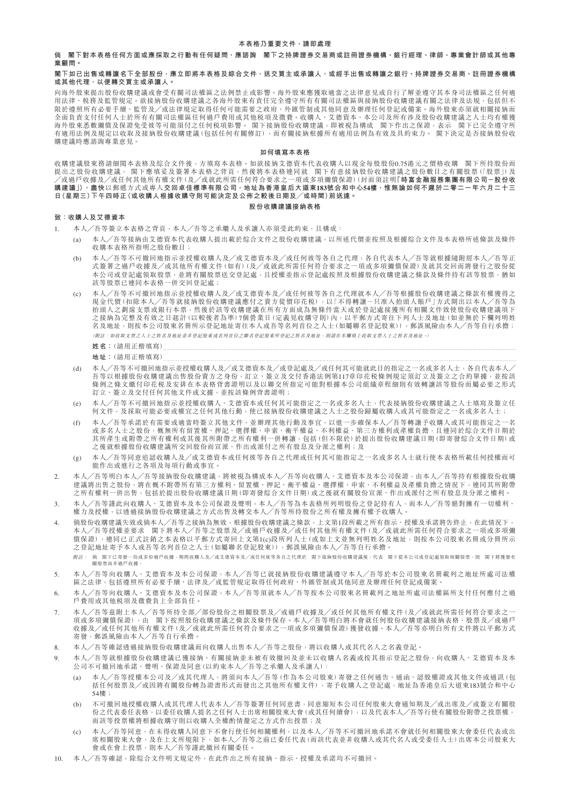#### **倘 閣下對本表格任何方面或應採取之行動有任何疑問,應諮詢 閣下之持牌證券交易商或註冊證券機構、銀行經理、律師、專業會計師或其他專 業顧問。**

#### **閣下如已出售或轉讓名下全部股份,應立即將本表格及綜合文件,送交買主或承讓人,或經手出售或轉讓之銀行、持牌證券交易商、註冊證券機構 或其他代理,以便轉交買主或承讓人。**

向海外股東提出股份收購建議或會受有關司法權區之法例禁止或影響。海外股東應獲取適當之法律意見或自行了解並遵守其本身司法權區之任何適 用法律、税務及監管規定。欲接納股份收購建議之各海外股東有責任完全遵守所有有關司法權區與接納股份收購建議有關之法律及法規,包括但不 限於遵照所有必要手續、監管及╱或法律規定取得任何可能需要之政府、外匯管制或其他同意及辦理任何登記或備案。海外股東亦須就相關接納而 全面負責支付任何人士於所有有關司法權區任何過戶費用或其他稅項及徵費。收購人、艾德資本、本公司及所有涉及股份收購建議之人士均有權獲 海外股東悉數彌償及保證免受彼等可能須付之任何税項影響。 閣下接納股份收購建議,即被視為構成 閣下作出之保證,表示 閣下已完全遵守所 有適用法例及規定以收取及接納股份收購建議(包括任何有關修訂),而有關接納根據所有適用法例為有效及具約束力。 閣下決定是否接納股份收 購建議時應諮詢專業意見。

#### **如何填寫本表格**

收購建議股東務請細閱本表格及綜合文件後,方填寫本表格。如欲接納艾德資本代表收購人以現金每股股份0.75港元之價格收購 閣下所持股份而 提出之股份收購建議, 閣下應填妥及簽署本表格之背頁,然後將本表格連同就 閣下有意接納股份收購建議之股份數目之有關股票(「股票」)及 ╱或過戶收據及╱或任何其他所有權文件(及╱或就此所需任何符合要求之一項或多項彌償保證)(封面須註明**「時富金融服務集團有限公司-股份收 購建議」),盡快**以郵遞方式或專人**交回卓佳標準有限公司,地址為香港皇后大道東183號合和中心54樓,惟無論如何不遲於二零二一年六月二十三 日(星期三)下午四時正(或收購人根據收購守則可能決定及公佈之較後日期及╱或時間)前送達。**

#### **股份收購建議接納表格**

## **致:收購人及艾德資本**

- 1. 本人╱吾等簽立本表格之背頁,本人╱吾等之承繼人及承讓人亦須受此約束,且構成:
	- (a) 本人╱吾等接納由艾德資本代表收購人提出載於綜合文件之股份收購建議,以所述代價並按照及根據綜合文件及本表格所述條款及條件 收購本表格所指明之股份數目;
	- (b) 本人╱吾等不可撤回地指示並授權收購人及╱或艾德資本及╱或任何彼等各自之代理,各自代表本人╱吾等就根據隨附經本人╱吾等正 式簽署之過戶收據及/或其他所有權文件(如有)(及/或就此所需任何符合要求之一項或多項彌償保證)及就其交回而將發行之股份從 本公司或登記處領取股票,並將有關股票送交登記處,且授權並指示登記處按照及根據股份收購建議之條款及條件持有該等股票,猶如 該等股票已連同本表格一併交回登記處;
	- (c) 本人╱吾等不可撤回地指示並授權收購人及╱或艾德資本及╱或任何彼等各自之代理就本人╱吾等根據股份收購建議之條款有權獲得之 現金代價(扣除本人╱吾等就接納股份收購建議應付之賣方從價印花稅),以「不得轉讓-只准入抬頭人賬戶」方式開出以本人╱吾等為 抬頭人之劃線支票或銀行本票,然後於該等收購建議在所有方面成為無條件當天或於登記處接獲所有相關文件致使股份收購建議項下 之接納為完整及有效之日起計(以較後者為準)7個營業日(定義見收購守則)內,以平郵方式寄往下列人士及地址(如並無於下欄列明姓 名及地址,則按本公司股東名冊所示登記地址寄往本人或吾等名列首位之人士(如屬聯名登記股東)),郵誤風險由本人╱吾等自行承擔; (附註:如收取支票之人士之姓名及地址並非登記股東或名列首位之聯名登記股東所登記之姓名及地址,則請在本欄填上收取支票人士之姓名及地址。)

- **地址:**(請用正楷填寫)
- (d) 本人/吾等不可撤回地指示並授權收購人及/或文德資本及/或登記處及/或任何其可能就此目的指定之一名或多名人士,各自代表本人/ 吾等以根據股份收購建議出售股份賣方之身份,訂立、簽立及交付香港法例第117章印花稅條例規定須訂立及簽立之合約單據,並按該 條例之條文繳付印花稅及安排在本表格背書證明以及以聯交所指定可能對根據本公司組織章程細則有效轉讓該等股份而屬必要之形式 訂立、簽立及交付任何其他文件或文據,並按該條例背書證明;
- (e) 本人╱吾等不可撤回地指示並授權收購人、艾德資本或任何其可能指定之一名或多名人士,代表接納股份收購建議之人士填寫及簽立任 何文件,及採取可能必要或權宜之任何其他行動,使已接納股份收購建議之人士之股份歸屬收購人或其可能指定之一名或多名人士;
- (f) 本人╱吾等承諾於有需要或適當時簽立其他文件,並辦理其他行動及事宜,以進一步確保本人╱吾等轉讓予收購人或其可能指定之一名 或多名人士之股份,概無所有留置權、押記、選擇權、申索、衡平權益、不利權益、第三方權利或產權負擔,且連同於綜合文件日期於 其所產生或附帶之所有權利或其務有權利一併轉讓,包括(但不限於)於提出股份收購建議日期(即寄發綜合文件日期)或 之後就根據股份收購建議所交回股份而宣派、作出或派付之所有股息及分派之權利;及
- (g) 本人╱吾等同意追認收購人及╱或艾德資本或任何彼等各自之代理或任何其可能指定之一名或多名人士就行使本表格所載任何授權而可 能作出或進行之各項及每項行動或事宜。
- 2. 本人╱吾等明白本人╱吾等接納股份收購建議,將被視為構成本人╱吾等向收購人、艾德資本及本公司保證,由本人╱吾等持有根據股份收購 建議將出售之股份,將在概不附帶所有第三方權利、留置權、押記、衡平權益、選擇權、申索、不利權益及產權負擔之情況下,連同其所附帶 之所有權利一併出售,包括於提出股份收購建議日期(即寄發綜合文件日期)或之後就有關股份宣派、作出或派付之所有股息及分派之權利。
- 3. 本人╱吾等謹此向收購人、艾德資本及本公司保證及聲明,本人╱吾等為本表格所列明股份之登記持有人,而本人╱吾等絕對擁有一切權利、 權力及授權,以透過接納股份收購建議之方式出售及轉交本人╱吾等所持股份之所有權及擁有權予收購人。
- 4. 倘股份收購建議失效或倘本人/吾等之接納為無效,根據股份收購建議之條款,上文第1段所載之所有指示、授權及承諾將告終止,在此情況下, 本人/吾等授權並要求 閣下將本人/吾等之股票及/或過戶收據及/或任何其他所有權文件(及/或就此所需任何符合要求之一項或多項彌 償保證),連同已正式註銷之本表格以平郵方式寄回上文第1(c)段所列人士(或如上文並無列明姓名及地址,則按本公司股東名冊或分冊所示 之登記地址寄予本人或吾等名列首位之人士(如屬聯名登記股東)),郵誤風險由本人╱吾等自行承擔。 附註: 倘 閣下已寄發一份或多份過戶收據,期間收購人及╱或艾德資本及╱或任何彼等各自之代理於 閣下接納股份收購建議後,代表 閣下從本公司或登記處領取相關股票,則 閣下將獲發有
- 關股票而非過戶收據。
- 本人╱吾等向收購人、艾德資本及本公司保證,本人╱吾等已就接納股份收購建議遵守本人╱吾等於本公司股東名冊載列之地址所處司法權 區之法律,包括遵照所有必要手續、法律及╱或監管規定取得任何政府、外匯管制或其他同意及辦理任何登記或備案。
- 6. 本人╱吾等向收購人、艾德資本及本公司保證,本人╱吾等須就本人╱吾等按本公司股東名冊載列之地址所處司法權區所支付任何應付之過 戶費用或其他稅項及徵費負上全部負任。
- 7. 本人╱吾等茲附上本人╱吾等所持全部╱部份股份之相關股票及╱或過戶收據及╱或任何其他所有權文件(及╱或就此所需任何符合要求之一 項或多項彌償保證),由 閣下按照股份收購建議之條款及條件保存。本人╱吾等明白將不會就任何股份收購建議接納表格、股票及╱或過戶 收據及╱或任何其他所有權文件(及╱或就此所需任何符合要求之一項或多項彌償保證)獲發收據。本人╱吾等亦明白所有文件將以平郵方式 寄發,郵誤風險由本人╱吾等自行承擔。
- 8. 本人╱吾等確認透過接納股份收購建議而向收購人出售本人╱吾等之股份,將以收購人或其代名人之名義登記。
- 9. 本人╱吾等就根據股份收購建議已獲接納、有關接納並未被有效撤回及並未以收購人名義或按其指示登記之股份,向收購人、艾德資本及本 公司不可撤回地承諾、聲明、保證及同意(以約束本人╱吾等之承繼人及承讓人):
	- (a) 本人╱吾等授權本公司及╱或其代理人,將須向本人╱吾等(作為本公司股東)寄發之任何通告、通函、認股權證或其他文件或通訊(包 括任何股票及╱或因將有關股份轉為證書形式而發出之其他所有權文件),寄予收購人之登記處,地址為香港皇后大道東183號合和中心 54樓;
	- (b) 不可撤回地授權收購人或其代理人代表本人╱吾等簽署任何同意書,同意縮短本公司任何股東大會通知期及╱或出席及╱或簽立有關股 份之代表委任表格,以委任收購人提名之任何人士出席相關股東大會(或其任何續會),以及代表本人╱吾等行使有關股份附帶之投票權, 而該等投票權將根據收購守則以收購人全權酌情釐定之方式作出投票;及
	- (c) 本人╱吾等同意,在未得收購人同意下不會行使任何相關權利,以及本人╱吾等不可撤回地承諾不會就任何相關股東大會委任代表或出 席相關股東大會,及在上文所規限下,如本人/吾等之前已委任代表(而該代表並非收購人或其代名人或受委任人士)出席本公司股東大 會或在會上投票,則本人╱吾等謹此撤回有關委任。
- 10. 本人╱吾等確認,除綜合文件明文規定外,在此作出之所有接納、指示、授權及承諾均不可撤回。

**姓名:**(請用正楷填寫)